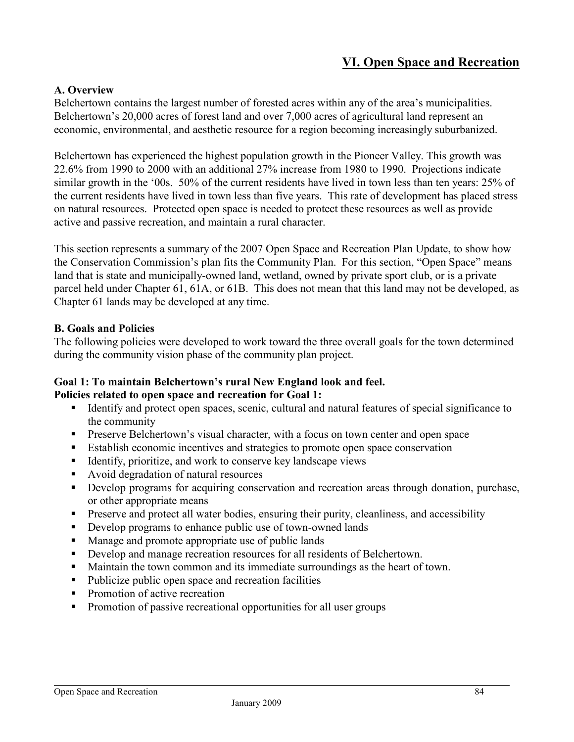# **VI. Open Space and Recreation**

#### **A. Overview**

Belchertown contains the largest number of forested acres within any of the area's municipalities. Belchertown's 20,000 acres of forest land and over 7,000 acres of agricultural land represent an economic, environmental, and aesthetic resource for a region becoming increasingly suburbanized.

Belchertown has experienced the highest population growth in the Pioneer Valley. This growth was 22.6% from 1990 to 2000 with an additional 27% increase from 1980 to 1990. Projections indicate similar growth in the '00s. 50% of the current residents have lived in town less than ten years: 25% of the current residents have lived in town less than five years. This rate of development has placed stress on natural resources. Protected open space is needed to protect these resources as well as provide active and passive recreation, and maintain a rural character.

This section represents a summary of the 2007 Open Space and Recreation Plan Update, to show how the Conservation Commission's plan fits the Community Plan. For this section, "Open Space" means land that is state and municipally-owned land, wetland, owned by private sport club, or is a private parcel held under Chapter 61, 61A, or 61B. This does not mean that this land may not be developed, as Chapter 61 lands may be developed at any time.

#### **B. Goals and Policies**

The following policies were developed to work toward the three overall goals for the town determined during the community vision phase of the community plan project.

#### **Goal 1: To maintain Belchertown's rural New England look and feel. Policies related to open space and recreation for Goal 1:**

- Identify and protect open spaces, scenic, cultural and natural features of special significance to the community
- **Preserve Belchertown's visual character, with a focus on town center and open space**
- Establish economic incentives and strategies to promote open space conservation
- $\blacksquare$  Identify, prioritize, and work to conserve key landscape views
- Avoid degradation of natural resources
- Develop programs for acquiring conservation and recreation areas through donation, purchase, or other appropriate means
- **Preserve and protect all water bodies, ensuring their purity, cleanliness, and accessibility**
- Develop programs to enhance public use of town-owned lands
- **Manage and promote appropriate use of public lands**
- Develop and manage recreation resources for all residents of Belchertown.
- **Maintain the town common and its immediate surroundings as the heart of town.**
- Publicize public open space and recreation facilities
- Promotion of active recreation
- Promotion of passive recreational opportunities for all user groups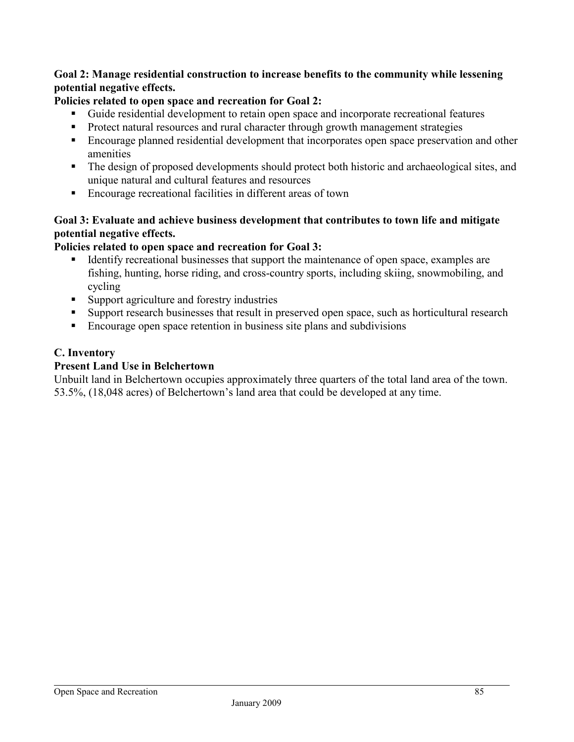## **Goal 2: Manage residential construction to increase benefits to the community while lessening potential negative effects.**

## **Policies related to open space and recreation for Goal 2:**

- Guide residential development to retain open space and incorporate recreational features
- **Protect natural resources and rural character through growth management strategies**
- **Encourage planned residential development that incorporates open space preservation and other** amenities
- The design of proposed developments should protect both historic and archaeological sites, and unique natural and cultural features and resources
- Encourage recreational facilities in different areas of town

# **Goal 3: Evaluate and achieve business development that contributes to town life and mitigate potential negative effects.**

## **Policies related to open space and recreation for Goal 3:**

- Identify recreational businesses that support the maintenance of open space, examples are fishing, hunting, horse riding, and cross-country sports, including skiing, snowmobiling, and cycling
- Support agriculture and forestry industries
- Support research businesses that result in preserved open space, such as horticultural research
- Encourage open space retention in business site plans and subdivisions

## **C. Inventory**

### **Present Land Use in Belchertown**

Unbuilt land in Belchertown occupies approximately three quarters of the total land area of the town. 53.5%, (18,048 acres) of Belchertown's land area that could be developed at any time.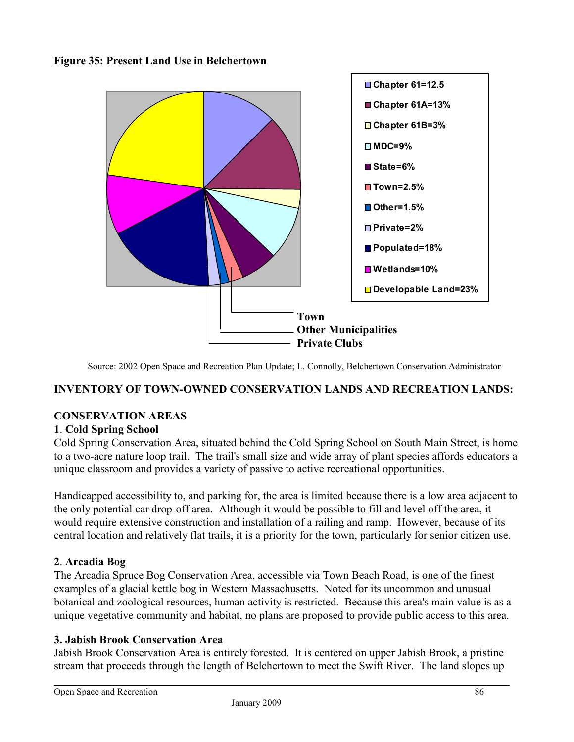**Figure 35: Present Land Use in Belchertown** 



Source: 2002 Open Space and Recreation Plan Update; L. Connolly, Belchertown Conservation Administrator

#### **INVENTORY OF TOWN-OWNED CONSERVATION LANDS AND RECREATION LANDS:**

#### **CONSERVATION AREAS**

#### **1**. **Cold Spring School**

Cold Spring Conservation Area, situated behind the Cold Spring School on South Main Street, is home to a two-acre nature loop trail. The trail's small size and wide array of plant species affords educators a unique classroom and provides a variety of passive to active recreational opportunities.

Handicapped accessibility to, and parking for, the area is limited because there is a low area adjacent to the only potential car drop-off area. Although it would be possible to fill and level off the area, it would require extensive construction and installation of a railing and ramp. However, because of its central location and relatively flat trails, it is a priority for the town, particularly for senior citizen use.

#### **2**. **Arcadia Bog**

The Arcadia Spruce Bog Conservation Area, accessible via Town Beach Road, is one of the finest examples of a glacial kettle bog in Western Massachusetts. Noted for its uncommon and unusual botanical and zoological resources, human activity is restricted. Because this area's main value is as a unique vegetative community and habitat, no plans are proposed to provide public access to this area.

#### **3. Jabish Brook Conservation Area**

Jabish Brook Conservation Area is entirely forested. It is centered on upper Jabish Brook, a pristine stream that proceeds through the length of Belchertown to meet the Swift River. The land slopes up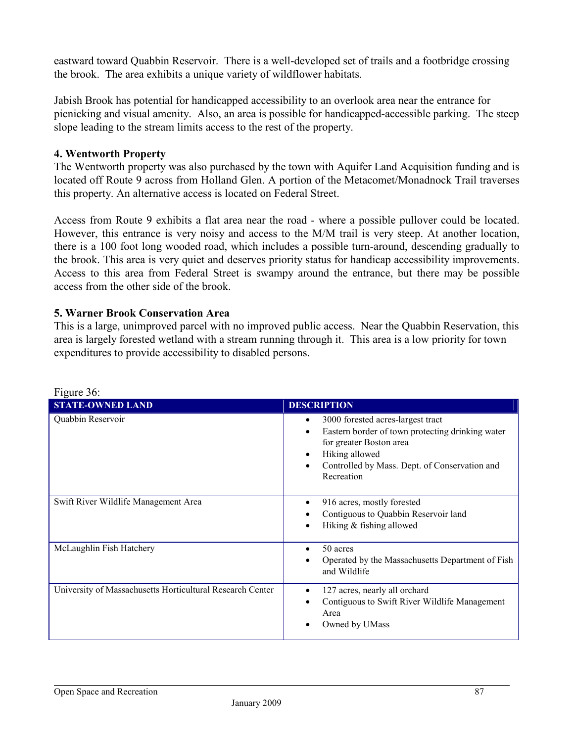eastward toward Quabbin Reservoir. There is a well-developed set of trails and a footbridge crossing the brook. The area exhibits a unique variety of wildflower habitats.

Jabish Brook has potential for handicapped accessibility to an overlook area near the entrance for picnicking and visual amenity. Also, an area is possible for handicapped-accessible parking. The steep slope leading to the stream limits access to the rest of the property.

### **4. Wentworth Property**

The Wentworth property was also purchased by the town with Aquifer Land Acquisition funding and is located off Route 9 across from Holland Glen. A portion of the Metacomet/Monadnock Trail traverses this property. An alternative access is located on Federal Street.

Access from Route 9 exhibits a flat area near the road - where a possible pullover could be located. However, this entrance is very noisy and access to the M/M trail is very steep. At another location, there is a 100 foot long wooded road, which includes a possible turn-around, descending gradually to the brook. This area is very quiet and deserves priority status for handicap accessibility improvements. Access to this area from Federal Street is swampy around the entrance, but there may be possible access from the other side of the brook.

#### **5. Warner Brook Conservation Area**

This is a large, unimproved parcel with no improved public access. Near the Quabbin Reservation, this area is largely forested wetland with a stream running through it. This area is a low priority for town expenditures to provide accessibility to disabled persons.

| Tiguit Ju.                                                |                                                                                                                                                                                                                                       |
|-----------------------------------------------------------|---------------------------------------------------------------------------------------------------------------------------------------------------------------------------------------------------------------------------------------|
| <b>STATE-OWNED LAND</b>                                   | <b>DESCRIPTION</b>                                                                                                                                                                                                                    |
| Quabbin Reservoir                                         | 3000 forested acres-largest tract<br>٠<br>Eastern border of town protecting drinking water<br>$\bullet$<br>for greater Boston area<br>Hiking allowed<br>٠<br>Controlled by Mass. Dept. of Conservation and<br>$\bullet$<br>Recreation |
| Swift River Wildlife Management Area                      | 916 acres, mostly forested<br>٠<br>Contiguous to Quabbin Reservoir land<br>Hiking & fishing allowed<br>$\bullet$                                                                                                                      |
| McLaughlin Fish Hatchery                                  | 50 acres<br>$\bullet$<br>Operated by the Massachusetts Department of Fish<br>and Wildlife                                                                                                                                             |
| University of Massachusetts Horticultural Research Center | 127 acres, nearly all orchard<br>Contiguous to Swift River Wildlife Management<br>Area<br>Owned by UMass<br>٠                                                                                                                         |

| Figure 36: |  |
|------------|--|
|            |  |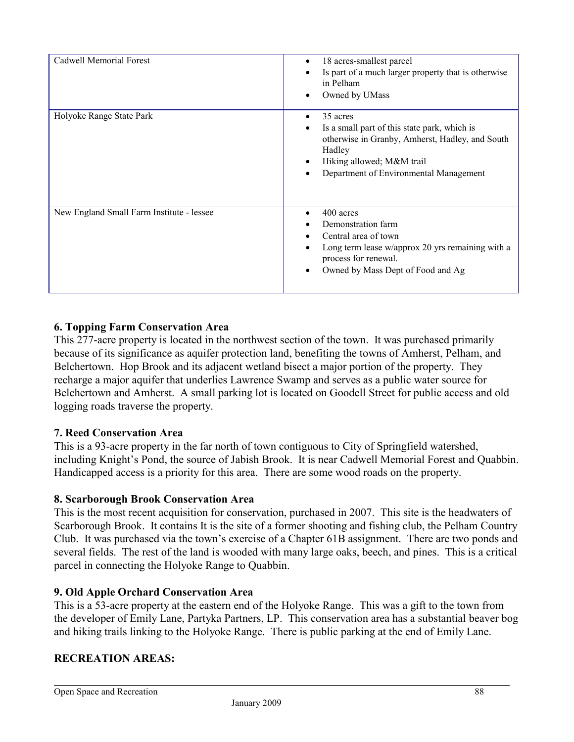| Cadwell Memorial Forest                   | 18 acres-smallest parcel<br>Is part of a much larger property that is otherwise<br>in Pelham<br>Owned by UMass                                                                               |
|-------------------------------------------|----------------------------------------------------------------------------------------------------------------------------------------------------------------------------------------------|
| Holyoke Range State Park                  | 35 acres<br>Is a small part of this state park, which is<br>otherwise in Granby, Amherst, Hadley, and South<br>Hadley<br>Hiking allowed; M&M trail<br>Department of Environmental Management |
| New England Small Farm Institute - lessee | 400 acres<br>Demonstration farm<br>Central area of town<br>Long term lease w/approx 20 yrs remaining with a<br>process for renewal.<br>Owned by Mass Dept of Food and Ag                     |

# **6. Topping Farm Conservation Area**

This 277-acre property is located in the northwest section of the town. It was purchased primarily because of its significance as aquifer protection land, benefiting the towns of Amherst, Pelham, and Belchertown. Hop Brook and its adjacent wetland bisect a major portion of the property. They recharge a major aquifer that underlies Lawrence Swamp and serves as a public water source for Belchertown and Amherst. A small parking lot is located on Goodell Street for public access and old logging roads traverse the property.

#### **7. Reed Conservation Area**

This is a 93-acre property in the far north of town contiguous to City of Springfield watershed, including Knight's Pond, the source of Jabish Brook. It is near Cadwell Memorial Forest and Quabbin. Handicapped access is a priority for this area. There are some wood roads on the property.

#### **8. Scarborough Brook Conservation Area**

This is the most recent acquisition for conservation, purchased in 2007. This site is the headwaters of Scarborough Brook. It contains It is the site of a former shooting and fishing club, the Pelham Country Club. It was purchased via the town's exercise of a Chapter 61B assignment. There are two ponds and several fields. The rest of the land is wooded with many large oaks, beech, and pines. This is a critical parcel in connecting the Holyoke Range to Quabbin.

#### **9. Old Apple Orchard Conservation Area**

This is a 53-acre property at the eastern end of the Holyoke Range. This was a gift to the town from the developer of Emily Lane, Partyka Partners, LP. This conservation area has a substantial beaver bog and hiking trails linking to the Holyoke Range. There is public parking at the end of Emily Lane.

#### **RECREATION AREAS:**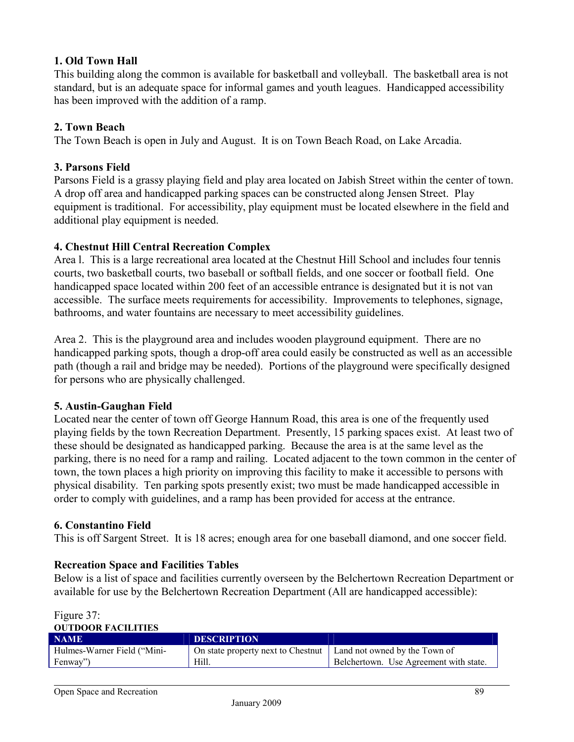## **1. Old Town Hall**

This building along the common is available for basketball and volleyball. The basketball area is not standard, but is an adequate space for informal games and youth leagues. Handicapped accessibility has been improved with the addition of a ramp.

## **2. Town Beach**

The Town Beach is open in July and August. It is on Town Beach Road, on Lake Arcadia.

### **3. Parsons Field**

Parsons Field is a grassy playing field and play area located on Jabish Street within the center of town. A drop off area and handicapped parking spaces can be constructed along Jensen Street. Play equipment is traditional. For accessibility, play equipment must be located elsewhere in the field and additional play equipment is needed.

## **4. Chestnut Hill Central Recreation Complex**

Area l. This is a large recreational area located at the Chestnut Hill School and includes four tennis courts, two basketball courts, two baseball or softball fields, and one soccer or football field. One handicapped space located within 200 feet of an accessible entrance is designated but it is not van accessible. The surface meets requirements for accessibility. Improvements to telephones, signage, bathrooms, and water fountains are necessary to meet accessibility guidelines.

Area 2. This is the playground area and includes wooden playground equipment. There are no handicapped parking spots, though a drop-off area could easily be constructed as well as an accessible path (though a rail and bridge may be needed). Portions of the playground were specifically designed for persons who are physically challenged.

#### **5. Austin-Gaughan Field**

Located near the center of town off George Hannum Road, this area is one of the frequently used playing fields by the town Recreation Department. Presently, 15 parking spaces exist. At least two of these should be designated as handicapped parking. Because the area is at the same level as the parking, there is no need for a ramp and railing. Located adjacent to the town common in the center of town, the town places a high priority on improving this facility to make it accessible to persons with physical disability. Ten parking spots presently exist; two must be made handicapped accessible in order to comply with guidelines, and a ramp has been provided for access at the entrance.

#### **6. Constantino Field**

This is off Sargent Street. It is 18 acres; enough area for one baseball diamond, and one soccer field.

# **Recreation Space and Facilities Tables**

Below is a list of space and facilities currently overseen by the Belchertown Recreation Department or available for use by the Belchertown Recreation Department (All are handicapped accessible):

| - OU HUUUK PAULHHES         |                                                                    |                                        |
|-----------------------------|--------------------------------------------------------------------|----------------------------------------|
| <b>NAME</b>                 | <b>DESCRIPTION</b>                                                 |                                        |
| Hulmes-Warner Field ("Mini- | On state property next to Chestnut   Land not owned by the Town of |                                        |
| Fenway")                    | Hill.                                                              | Belchertown. Use Agreement with state. |
|                             |                                                                    |                                        |

#### Figure 37: **OUTDOOR FACILITIES**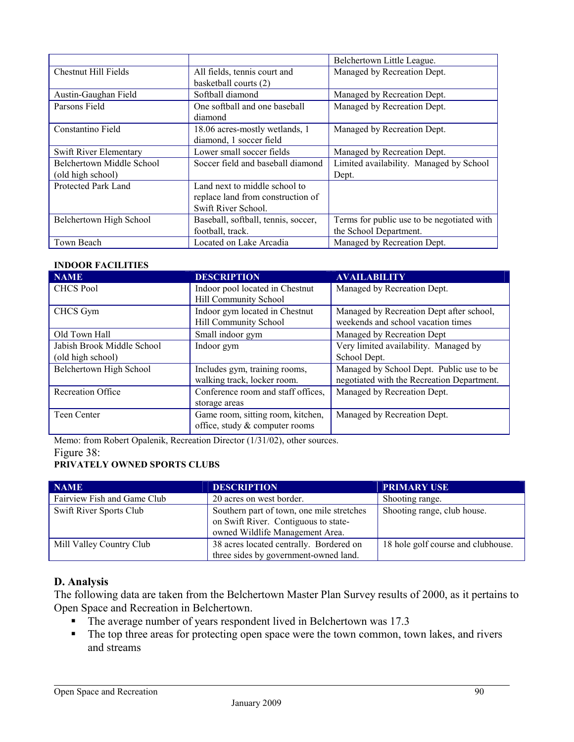|                             |                                     | Belchertown Little League.                 |  |
|-----------------------------|-------------------------------------|--------------------------------------------|--|
| <b>Chestnut Hill Fields</b> | All fields, tennis court and        | Managed by Recreation Dept.                |  |
|                             | basketball courts (2)               |                                            |  |
| Austin-Gaughan Field        | Softball diamond                    | Managed by Recreation Dept.                |  |
| Parsons Field               | One softball and one baseball       | Managed by Recreation Dept.                |  |
|                             | diamond                             |                                            |  |
| Constantino Field           | 18.06 acres-mostly wetlands, 1      | Managed by Recreation Dept.                |  |
|                             | diamond, 1 soccer field             |                                            |  |
| Swift River Elementary      | Lower small soccer fields           | Managed by Recreation Dept.                |  |
| Belchertown Middle School   | Soccer field and baseball diamond   | Limited availability. Managed by School    |  |
| (old high school)           |                                     | Dept.                                      |  |
| Protected Park Land         | Land next to middle school to       |                                            |  |
|                             | replace land from construction of   |                                            |  |
|                             | Swift River School.                 |                                            |  |
| Belchertown High School     | Baseball, softball, tennis, soccer, | Terms for public use to be negotiated with |  |
|                             | football, track.                    | the School Department.                     |  |
| Town Beach                  | Located on Lake Arcadia             | Managed by Recreation Dept.                |  |

#### **INDOOR FACILITIES**

| <b>NAME</b>                | <b>DESCRIPTION</b>                 | <b>AVAILABILITY</b>                        |  |
|----------------------------|------------------------------------|--------------------------------------------|--|
| <b>CHCS Pool</b>           | Indoor pool located in Chestnut    | Managed by Recreation Dept.                |  |
|                            | <b>Hill Community School</b>       |                                            |  |
| CHCS Gym                   | Indoor gym located in Chestnut     | Managed by Recreation Dept after school,   |  |
|                            | <b>Hill Community School</b>       | weekends and school vacation times         |  |
| Old Town Hall              | Small indoor gym                   | Managed by Recreation Dept                 |  |
| Jabish Brook Middle School | Indoor gym                         | Very limited availability. Managed by      |  |
| (old high school)          |                                    | School Dept.                               |  |
| Belchertown High School    | Includes gym, training rooms,      | Managed by School Dept. Public use to be   |  |
|                            | walking track, locker room.        | negotiated with the Recreation Department. |  |
| <b>Recreation Office</b>   | Conference room and staff offices, | Managed by Recreation Dept.                |  |
|                            | storage areas                      |                                            |  |
| Teen Center                | Game room, sitting room, kitchen,  | Managed by Recreation Dept.                |  |
|                            | office, study & computer rooms     |                                            |  |

Memo: from Robert Opalenik, Recreation Director (1/31/02), other sources.

#### Figure 38:

# **PRIVATELY OWNED SPORTS CLUBS**

| <b>NAME</b>                 | <b>DESCRIPTION</b>                                                                                                   | <b>PRIMARY USE</b>                 |
|-----------------------------|----------------------------------------------------------------------------------------------------------------------|------------------------------------|
| Fairview Fish and Game Club | 20 acres on west border.                                                                                             | Shooting range.                    |
| Swift River Sports Club     | Southern part of town, one mile stretches<br>on Swift River. Contiguous to state-<br>owned Wildlife Management Area. | Shooting range, club house.        |
| Mill Valley Country Club    | 38 acres located centrally. Bordered on<br>three sides by government-owned land.                                     | 18 hole golf course and clubhouse. |

#### **D. Analysis**

The following data are taken from the Belchertown Master Plan Survey results of 2000, as it pertains to Open Space and Recreation in Belchertown.

- The average number of years respondent lived in Belchertown was 17.3
- The top three areas for protecting open space were the town common, town lakes, and rivers and streams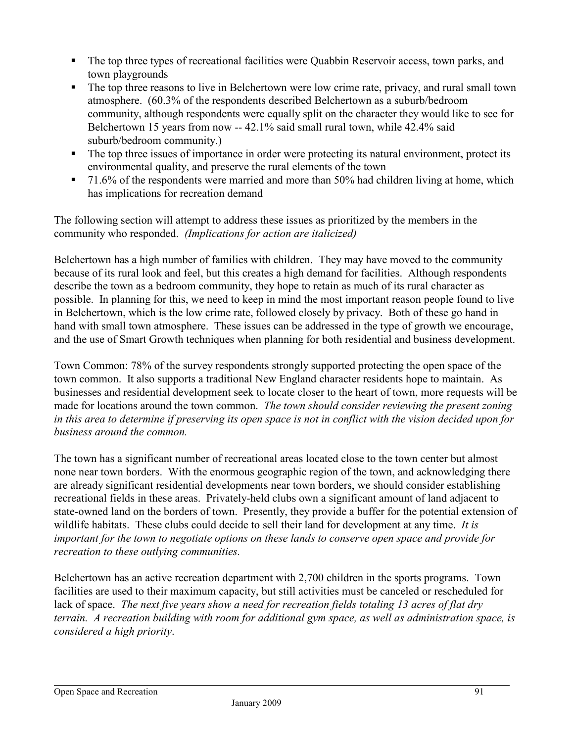- The top three types of recreational facilities were Quabbin Reservoir access, town parks, and town playgrounds
- The top three reasons to live in Belchertown were low crime rate, privacy, and rural small town atmosphere. (60.3% of the respondents described Belchertown as a suburb/bedroom community, although respondents were equally split on the character they would like to see for Belchertown 15 years from now -- 42.1% said small rural town, while 42.4% said suburb/bedroom community.)
- The top three issues of importance in order were protecting its natural environment, protect its environmental quality, and preserve the rural elements of the town
- 71.6% of the respondents were married and more than 50% had children living at home, which has implications for recreation demand

The following section will attempt to address these issues as prioritized by the members in the community who responded. *(Implications for action are italicized)* 

Belchertown has a high number of families with children. They may have moved to the community because of its rural look and feel, but this creates a high demand for facilities. Although respondents describe the town as a bedroom community, they hope to retain as much of its rural character as possible. In planning for this, we need to keep in mind the most important reason people found to live in Belchertown, which is the low crime rate, followed closely by privacy. Both of these go hand in hand with small town atmosphere. These issues can be addressed in the type of growth we encourage, and the use of Smart Growth techniques when planning for both residential and business development.

Town Common: 78% of the survey respondents strongly supported protecting the open space of the town common. It also supports a traditional New England character residents hope to maintain. As businesses and residential development seek to locate closer to the heart of town, more requests will be made for locations around the town common. *The town should consider reviewing the present zoning in this area to determine if preserving its open space is not in conflict with the vision decided upon for business around the common.* 

The town has a significant number of recreational areas located close to the town center but almost none near town borders. With the enormous geographic region of the town, and acknowledging there are already significant residential developments near town borders, we should consider establishing recreational fields in these areas. Privately-held clubs own a significant amount of land adjacent to state-owned land on the borders of town. Presently, they provide a buffer for the potential extension of wildlife habitats. These clubs could decide to sell their land for development at any time. *It is important for the town to negotiate options on these lands to conserve open space and provide for recreation to these outlying communities.* 

Belchertown has an active recreation department with 2,700 children in the sports programs. Town facilities are used to their maximum capacity, but still activities must be canceled or rescheduled for lack of space. *The next five years show a need for recreation fields totaling 13 acres of flat dry terrain. A recreation building with room for additional gym space, as well as administration space, is considered a high priority*.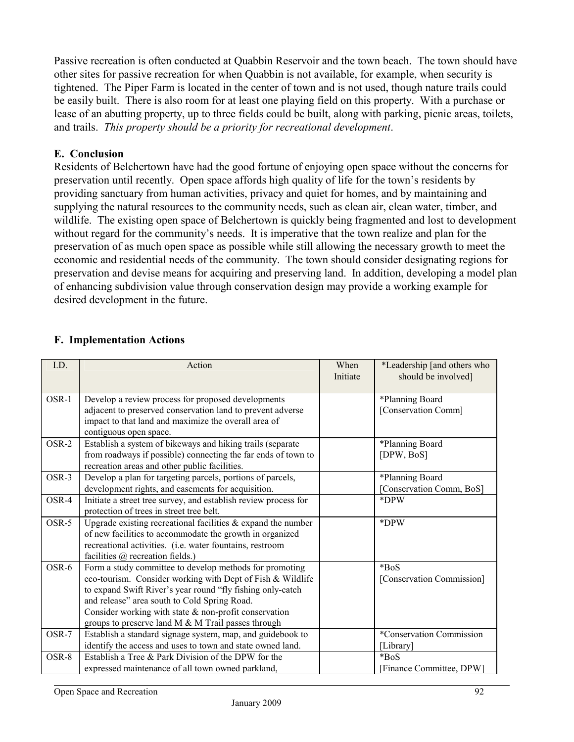Passive recreation is often conducted at Quabbin Reservoir and the town beach. The town should have other sites for passive recreation for when Quabbin is not available, for example, when security is tightened. The Piper Farm is located in the center of town and is not used, though nature trails could be easily built. There is also room for at least one playing field on this property. With a purchase or lease of an abutting property, up to three fields could be built, along with parking, picnic areas, toilets, and trails. *This property should be a priority for recreational development*.

## **E. Conclusion**

Residents of Belchertown have had the good fortune of enjoying open space without the concerns for preservation until recently. Open space affords high quality of life for the town's residents by providing sanctuary from human activities, privacy and quiet for homes, and by maintaining and supplying the natural resources to the community needs, such as clean air, clean water, timber, and wildlife. The existing open space of Belchertown is quickly being fragmented and lost to development without regard for the community's needs. It is imperative that the town realize and plan for the preservation of as much open space as possible while still allowing the necessary growth to meet the economic and residential needs of the community. The town should consider designating regions for preservation and devise means for acquiring and preserving land. In addition, developing a model plan of enhancing subdivision value through conservation design may provide a working example for desired development in the future.

| I.D.  | Action                                                                                                                                                                                                                                                                                                                                             | When<br>Initiate | *Leadership [and others who<br>should be involved] |
|-------|----------------------------------------------------------------------------------------------------------------------------------------------------------------------------------------------------------------------------------------------------------------------------------------------------------------------------------------------------|------------------|----------------------------------------------------|
| OSR-1 | Develop a review process for proposed developments<br>adjacent to preserved conservation land to prevent adverse<br>impact to that land and maximize the overall area of<br>contiguous open space.                                                                                                                                                 |                  | *Planning Board<br>[Conservation Comm]             |
| OSR-2 | Establish a system of bikeways and hiking trails (separate<br>from roadways if possible) connecting the far ends of town to<br>recreation areas and other public facilities.                                                                                                                                                                       |                  | *Planning Board<br>[DPW, BoS]                      |
| OSR-3 | Develop a plan for targeting parcels, portions of parcels,<br>development rights, and easements for acquisition.                                                                                                                                                                                                                                   |                  | *Planning Board<br>[Conservation Comm, BoS]        |
| OSR-4 | Initiate a street tree survey, and establish review process for<br>protection of trees in street tree belt.                                                                                                                                                                                                                                        |                  | *DPW                                               |
| OSR-5 | Upgrade existing recreational facilities $\&$ expand the number<br>of new facilities to accommodate the growth in organized<br>recreational activities. (i.e. water fountains, restroom<br>facilities $\omega$ recreation fields.)                                                                                                                 |                  | *DPW                                               |
| OSR-6 | Form a study committee to develop methods for promoting<br>eco-tourism. Consider working with Dept of Fish & Wildlife<br>to expand Swift River's year round "fly fishing only-catch<br>and release" area south to Cold Spring Road.<br>Consider working with state & non-profit conservation<br>groups to preserve land M & M Trail passes through |                  | $*BoS$<br>[Conservation Commission]                |
| OSR-7 | Establish a standard signage system, map, and guidebook to<br>identify the access and uses to town and state owned land.                                                                                                                                                                                                                           |                  | *Conservation Commission<br>[Library]              |
| OSR-8 | Establish a Tree & Park Division of the DPW for the<br>expressed maintenance of all town owned parkland,                                                                                                                                                                                                                                           |                  | $*B_0S$<br>[Finance Committee, DPW]                |

# **F. Implementation Actions**